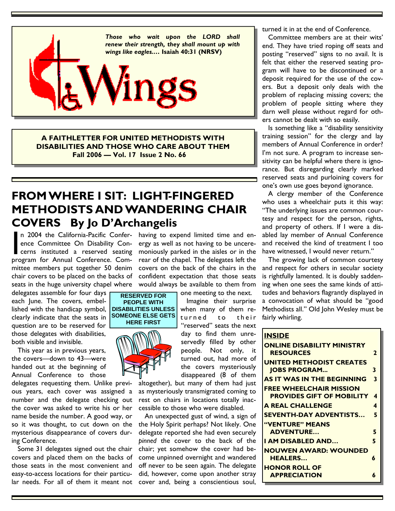

**A FAITHLETTER FOR UNITED METHODISTS WITH DISABILITIES AND THOSE WHO CARE ABOUT THEM Fall 2006 — Vol. 17 Issue 2 No. 66** 

## **FROM WHERE I SIT: LIGHT-FINGERED METHODISTS AND WANDERING CHAIR COVERS By Jo D'Archangelis**

n 2004 the California-Pacific Confer- having to expend limited time and enmittee members put together 50 denim covers on the back of the chairs in the n 2004 the California-Pacific Confer-<br>ence Committee On Disability Concerns instituted a reserved seating<br>program for Annual Conference Comence Committee On Disability Concerns instituted a reserved seating program for Annual Conference. Comchair covers to be placed on the backs of

delegates assemble for four days each June. The covers, embellished with the handicap symbol, clearly indicate that the seats in question are to be reserved for those delegates with disabilities, both visible and invisible.

 This year as in previous years, the covers—down to 43—were handed out at the beginning of Annual Conference to those

delegates requesting them. Unlike previous years, each cover was assigned a number and the delegate checking out the cover was asked to write his or her name beside the number. A good way, or so it was thought, to cut down on the mysterious disappearance of covers during Conference.

lar needs. For all of them it meant not cover and, being a conscientious soul, Some 31 delegates signed out the chair covers and placed them on the backs of those seats in the most convenient and easy-to-access locations for their particu-

ergy as well as not having to be unceremoniously parked in the aisles or in the rear of the chapel. The delegates left the confident expectation that those seats seats in the huge university chapel where would always be available to them from one meeting to the next.

 Imagine their surprise when many of them returned to their "reserved" seats the next day to find them unreservedly filled by other people. Not only, it turned out, had more of the covers mysteriously disappeared (8 of them

altogether), but many of them had just as mysteriously transmigrated coming to rest on chairs in locations totally inaccessible to those who were disabled.

 An unexpected gust of wind, a sign of the Holy Spirit perhaps? Not likely. One delegate reported she had even securely *pinned* the cover to the back of the chair; yet somehow the cover had become unpinned overnight and wandered off never to be seen again. The delegate did, however, come upon another stray turned it in at the end of Conference.

 Committee members are at their wits' end. They have tried roping off seats and posting "reserved" signs to no avail. It is felt that either the reserved seating program will have to be discontinued or a deposit required for the use of the covers. But a deposit only deals with the problem of replacing missing covers; the problem of people sitting where they darn well please without regard for others cannot be dealt with so easily.

 Is something like a "disability sensitivity training session" for the clergy and lay members of Annual Conference in order? I'm not sure. A program to increase sensitivity can be helpful where there is ignorance. But disregarding clearly marked reserved seats and purloining covers for one's own use goes beyond ignorance.

 A clergy member of the Conference who uses a wheelchair puts it this way: "The underlying issues are common courtesy and respect for the person, rights, and property of others. If I were a disabled lay member of Annual Conference and received the kind of treatment I too have witnessed, I would never return."

 The growing lack of common courtesy and respect for others in secular society is rightfully lamented. It is doubly saddening when one sees the same kinds of attitudes and behaviors flagrantly displayed in a convocation of what should be "good Methodists all." Old John Wesley must be fairly whirling.

### **INSIDE ONLINE DISABILITY MINISTRY RESOURCES 2 UNITED METHODIST CREATES JOBS PROGRAM... 3 AS IT WAS IN THE BEGINNING 3 FREE WHEELCHAIR MISSION PROVIDES GIFT OF MOBILITY 4 A REAL CHALLENGE 4 SEVENTH-DAY ADVENTISTS… 5 "VENTURE" MEANS ADVENTURE… 5 I AM DISABLED AND… 5 NOUWEN AWARD: WOUNDED HEALERS… 6 HONOR ROLL OF APPRECIATION 6**

**RESERVED FOR PEOPLE WITH DISABILITIES UNLESS SOMEONE ELSE GETS HERE FIRST** 

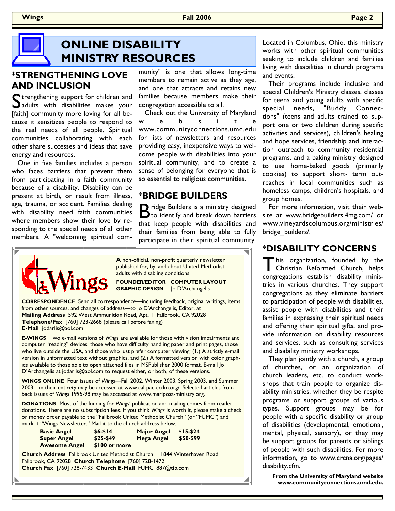**Wings Fall 2006 Page 2**

## **ONLINE DISABILITY MINISTRY RESOURCES**

### \***STRENGTHENING LOVE AND INCLUSION**

 $\Gamma$  trengthening support for children and adults with disabilities makes your [faith] community more loving for all because it sensitizes people to respond to the real needs of all people. Spiritual communities collaborating with each other share successes and ideas that save energy and resources.

 One in five families includes a person who faces barriers that prevent them from participating in a faith community because of a disability. Disability can be present at birth, or result from illness, age, trauma, or accident. Families dealing with disability need faith communities where members show their love by responding to the special needs of all other members. A "welcoming spiritual com-

munity" is one that allows long-time members to remain active as they age, and one that attracts and retains new families because members make their congregation accessible to all.

 Check out the University of Maryland w e b s i t e www.communityconnections.umd.edu for lists of newsletters and resources providing easy, inexpensive ways to welcome people with disabilities into your spiritual community, and to create a sense of belonging for everyone that is so essential to religious communities.

### \***BRIDGE BUILDERS**

B ridge Builders is a ministry designed<br>
to identify and break down barriers that keep people with disabilities and their families from being able to fully participate in their spiritual community.



**A** non-official, non-profit quarterly newsletter published for, by, and about United Methodist adults with disabling conditions

**FOUNDER/EDITOR COMPUTER LAYOUT GRAPHIC DESIGN** Jo D'Archangelis

**CORRESPONDENCE** Send all correspondence—including feedback, original writings, items from other sources, and changes of address—to Jo D'Archangelis, Editor, at **Mailing Address** 592 West Ammunition Road, Apt. 1 Fallbrook, CA 92028 **Telephone/Fax** [760] 723-2668 (please call before faxing) **E-Mail** jodarlis@aol.com

**E-WINGS** Two e-mail versions of *Wings* are available for those with vision impairments and computer "reading" devices, those who have difficulty handling paper and print pages, those who live outside the USA, and those who just prefer computer viewing: (1.) A strictly e-mail version in unformatted text without graphics, and (2.) A formatted version with color graphics available to those able to open attached files in MSPublisher 2000 format. E-mail Jo D'Archangelis at jodarlis@aol.com to request either, or both, of these versions.

**WINGS ONLINE** Four issues of *Wings—*Fall 2002, Winter 2003, Spring 2003, and Summer 2003—in their entirety may be accessed at www.cal-pac-ccdm.org/. Selected articles from back issues of *Wings* 1995-98 may be accessed at www.mariposa-ministry.org.

**DONATIONS** Most of the funding for *Wings'* publication and mailing comes from reader donations. There are no subscription fees. If you think *Wings* is worth it, please make a check or money order payable to the "Fallbrook United Methodist Church" (or "FUMC") and mark it "Wings Newsletter." Mail it to the church address below.

| <b>Basic Angel</b>   | $$6 - $14$    | <b>Major Angel</b> | $$15-524$ |
|----------------------|---------------|--------------------|-----------|
| <b>Super Angel</b>   | \$25-\$49     | Mega Angel         | \$50-\$99 |
| <b>Awesome Angel</b> | \$100 or more |                    |           |

**Church Address** Fallbrook United Methodist Church 1844 Winterhaven Road Fallbrook, CA 92028 **Church Telephone** [760] 728-1472 **Church Fax** [760] 728-7433 **Church E-Mail** FUMC1887@tfb.com

Located in Columbus, Ohio, this ministry works with other spiritual communities seeking to include children and families living with disabilities in church programs and events.

 Their programs include inclusive and special Children's Ministry classes, classes for teens and young adults with specific special needs, "Buddy Connections" (teens and adults trained to support one or two children during specific activities and services), children's healing and hope services, friendship and interaction outreach to community residential programs, and a baking ministry designed to use home-baked goods (primarily cookies) to support short- term outreaches in local communities such as homeless camps, children's hospitals, and group homes.

 For more information, visit their website at www.bridgebuilders.4mg.com/ or www.vineyardscolumbus.org/ministries/ bridge\_builders/.

### \***DISABILITY CONCERNS**

This organization, founded by the Christian Reformed Church, helps congregations establish disability ministries in various churches. They support congregations as they eliminate barriers to participation of people with disabilities, assist people with disabilities and their families in expressing their spiritual needs and offering their spiritual gifts, and provide information on disability resources and services, such as consulting services and disability ministry workshops.

 They plan jointly with a church, a group of churches, or an organization of church leaders, etc. to conduct workshops that train people to organize disability ministries, whether they be respite programs or support groups of various types. Support groups may be for people with a specific disability or group of disabilities (developmental, emotional, mental, physical, sensory), or they may be support groups for parents or siblings of people with such disabilities. For more information, go to www.crcna.org/pages/ disability.cfm.

**From the University of Maryland website www.communityconnections.umd.edu.**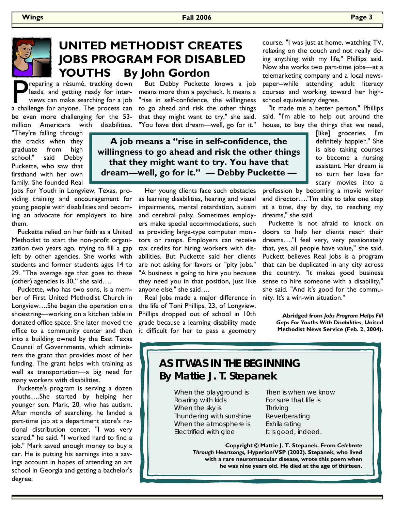

## **UNITED METHODIST CREATES JOBS PROGRAM FOR DISABLED YOUTHS By John Gordon**

reparing a résumé, tracking down leads, and getting ready for interviews can make searching for a job a challenge for anyone. The process can be even more challenging for the 53 million Americans with disabilities.

"They're falling through the cracks when they graduate from high school," said Debby Puckette, who saw that firsthand with her own family. She founded Real

Jobs For Youth in Longview, Texas, providing training and encouragement for young people with disabilities and becoming an advocate for employers to hire them.

 Puckette relied on her faith as a United Methodist to start the non-profit organization two years ago, trying to fill a gap left by other agencies. She works with students and former students ages 14 to 29. "The average age that goes to these (other) agencies is 30," she said….

 Puckette, who has two sons, is a member of First United Methodist Church in Longview….She began the operation on a shoestring—working on a kitchen table in donated office space. She later moved the office to a community center and then into a building owned by the East Texas Council of Governments, which administers the grant that provides most of her funding. The grant helps with training as well as transportation—a big need for many workers with disabilities.

 Puckette's program is serving a dozen youths….She started by helping her younger son, Mark, 20, who has autism. After months of searching, he landed a part-time job at a department store's national distribution center. "I was very scared," he said. "I worked hard to find a job." Mark saved enough money to buy a car. He is putting his earnings into a savings account in hopes of attending an art school in Georgia and getting a bachelor's degree.

 But Debby Puckette knows a job means more than a paycheck. It means a "rise in self-confidence, the willingness to go ahead and risk the other things that they might want to try," she said. "You have that dream—well, go for it."

**A job means a "rise in self-confidence, the willingness to go ahead and risk the other things that they might want to try. You have that dream—well, go for it." — Debby Puckette —** 

> Her young clients face such obstacles as learning disabilities, hearing and visual impairments, mental retardation, autism and cerebral palsy. Sometimes employers make special accommodations, such as providing large-type computer monitors or ramps. Employers can receive tax credits for hiring workers with disabilities. But Puckette said her clients are not asking for favors or "pity jobs." "A business is going to hire you because they need you in that position, just like anyone else," she said….

> Real Jobs made a major difference in the life of Toni Phillips, 23, of Longview. Phillips dropped out of school in 10th grade because a learning disability made it difficult for her to pass a geometry

course. "I was just at home, watching TV, relaxing on the couch and not really doing anything with my life," Phillips said. Now she works two part-time jobs—at a telemarketing company and a local newspaper--while attending adult literacy courses and working toward her highschool equivalency degree.

 "It made me a better person," Phillips said. "I'm able to help out around the house, to buy the things that we need,

> [like] groceries. I'm definitely happier." She is also taking courses to become a nursing assistant. Her dream is to turn her love for scary movies into a

profession by becoming a movie writer and director…."I'm able to take one step at a time, day by day, to reaching my dreams," she said.

 Puckette is not afraid to knock on doors to help her clients reach their dreams…."I feel very, very passionately that, yes, all people have value," she said. Puckett believes Real Jobs is a program that can be duplicated in any city across the country. "It makes good business sense to hire someone with a disability," she said. "And it's good for the community. It's a win-win situation."

> **Abridged from** *Jobs Program Helps Fill Gaps For Youths With Disabilities***, United Methodist News Service (Feb. 2, 2004).**

### **AS IT WAS IN THE BEGINNING By Mattie J. T. Stepanek**

When the playground is Roaring with kids When the sky is Thundering with sunshine When the atmosphere is Electrified with glee

Then is when we know For sure that life is Thriving Reverberating Exhilarating It is good, indeed.

**Copyright © Mattie J. T. Stepanek. From** *Celebrate Through Heartsongs,* **Hyperion/VSP (2002). Stepanek, who lived with a rare neuromuscular disease, wrote this poem when he was nine years old. He died at the age of thirteen.**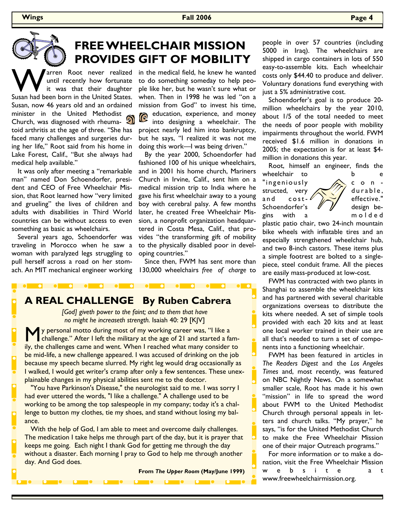### **Wings Fall 2006 Page 4**



## **FREE WHEELCHAIR MISSION PROVIDES GIFT OF MOBILITY**

arren Root never realized until recently how fortunate it was that their daughter Susan had been born in the United States. Susan, now 46 years old and an ordained minister in the United Methodist Church, was diagnosed with rheumatoid arthritis at the age of three. "She has faced many challenges and surgeries during her life," Root said from his home in Lake Forest, Calif., "But she always had medical help available."

 It was only after meeting a "remarkable man" named Don Schoendorfer, president and CEO of Free Wheelchair Mission, that Root learned how "very limited and grueling" the lives of children and adults with disabilities in Third World countries can be without access to even something as basic as wheelchairs.

 Several years ago, Schoendorfer was traveling in Morocco when he saw a woman with paralyzed legs struggling to pull herself across a road on her stomach. An MIT mechanical engineer working in the medical field, he knew he wanted to do something someday to help people like her, but he wasn't sure what or when. Then in 1998 he was led "on a mission from God" to invest his time, education, experience, and money into designing a wheelchair. The project nearly led him into bankruptcy, but he says, "I realized it was not me doing this work—I was being driven."

 By the year 2000, Schoendorfer had fashioned 100 of his unique wheelchairs, and in 2001 his home church, Mariners Church in Irvine, Calif., sent him on a medical mission trip to India where he gave his first wheelchair away to a young boy with cerebral palsy. A few months later, he created Free Wheelchair Mission, a nonprofit organization headquartered in Costa Mesa, Calif., that provides "the transforming gift of mobility to the physically disabled poor in developing countries."

 Since then, FWM has sent more than 130,000 wheelchairs *free of charge* to

**A REAL CHALLENGE By Ruben Cabrera** 

*[God] giveth power to the faint; and to them that have no might he increaseth strength.* Isaiah 40: 29 [KJV]

**M** y personal motto during most of my working career was, "I like a challenge." After I left the military at the age of 21 and started a family, the challenges came and went. When I reached what many consider to be mid-life, a new challenge appeared. I was accused of drinking on the job because my speech became slurred. My right leg would drag occasionally as I walked, I would get writer's cramp after only a few sentences. These unexplainable changes in my physical abilities sent me to the doctor.

 "You have Parkinson's Disease," the neurologist said to me. I was sorry I had ever uttered the words, "I like a challenge." A challenge used to be working to be among the top salespeople in my company; today it's a challenge to button my clothes, tie my shoes, and stand without losing my balance.

 With the help of God, I am able to meet and overcome daily challenges. The medication I take helps me through part of the day, but it is prayer that keeps me going. Each night I thank God for getting me through the day without a disaster. Each morning I pray to God to help me through another day. And God does.

**From** *The Upper Room* **(May/June 1999)**

people in over 57 countries (including 5000 in Iraq). The wheelchairs are shipped in cargo containers in lots of 550 easy-to-assemble kits. Each wheelchair costs only \$44.40 to produce and deliver. Voluntary donations fund everything with just a 5% administrative cost.

 Schoendorfer's goal is to produce 20 million wheelchairs by the year 2010, about 1/5 of the total needed to meet the needs of poor people with mobility impairments throughout the world. FWM received \$1.6 million in donations in 2005; the expectation is for at least \$4 million in donations this year.

 Root, himself an engineer, finds the wheelchair to b e "ingeniously  $\sqrt{2}$  c o n structed, very  $\left\langle \right\rangle/\left\langle \right\rangle$  durable, and cost- $\ell$   $\sim$  effective." Schoendorfer's  $\mathscr{U}/\mathscr{J}$  design begins with a m o l d e d

plastic patio chair, two 24-inch mountain bike wheels with inflatable tires and an especially strengthened wheelchair hub, and two 8-inch castors. These items plus a simple footrest are bolted to a singlepiece, steel conduit frame. All the pieces are easily mass-produced at low-cost.

 FWM has contracted with two plants in Shanghai to assemble the wheelchair kits and has partnered with several charitable organizations overseas to distribute the kits where needed. A set of simple tools provided with each 20 kits and at least one local worker trained in their use are all that's needed to turn a set of components into a functioning wheelchair.

 FWM has been featured in articles in *The Readers Digest* and the *Los Angeles Times* and, most recently, was featured on NBC Nightly News. On a somewhat smaller scale, Root has made it his own "mission" in life to spread the word about FWM to the United Methodist Church through personal appeals in letters and church talks. "My prayer," he says, "is for the United Methodist Church to make the Free Wheelchair Mission one of their major Outreach programs."

 For more information or to make a donation, visit the Free Wheelchair Mission w e b s i t e a t www.freewheelchairmission.org.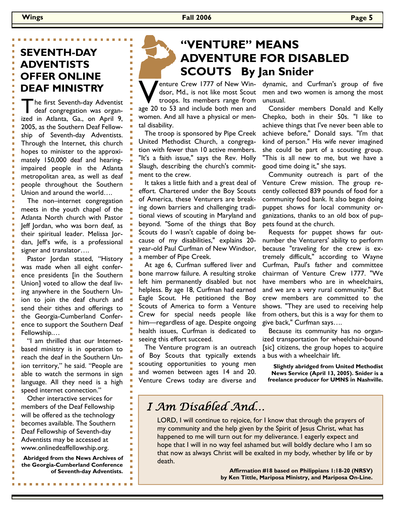### **SEVENTH-DAY ADVENTISTS OFFER ONLINE DEAF MINISTRY**

The first Seventh-day Adventist deaf congregation was organized in Atlanta, Ga., on April 9, 2005, as the Southern Deaf Fellowship of Seventh-day Adventists. Through the Internet, this church hopes to minister to the approximately 150,000 deaf and hearingimpaired people in the Atlanta metropolitan area, as well as deaf people throughout the Southern Union and around the world….

 The non–internet congregation meets in the youth chapel of the Atlanta North church with Pastor Jeff Jordan, who was born deaf, as their spiritual leader. Melissa Jordan, Jeff's wife, is a professional signer and translator….

 Pastor Jordan stated, "History was made when all eight conference presidents [in the Southern Union] voted to allow the deaf living anywhere in the Southern Union to join the deaf church and send their tithes and offerings to the Georgia-Cumberland Conference to support the Southern Deaf Fellowship.…

 "I am thrilled that our Internetbased ministry is in operation to reach the deaf in the Southern Union territory," he said. "People are able to watch the sermons in sign language. All they need is a high speed internet connection."

 Other interactive services for members of the Deaf Fellowship will be offered as the technology becomes available. The Southern Deaf Fellowship of Seventh-day Adventists may be accessed at www.onlinedeaffellowship.org.

**Abridged from the News Archives of the Georgia-Cumberland Conference of Seventh-day Adventists.** 

# **"VENTURE" MEANS ADVENTURE FOR DISABLED SCOUTS By Jan Snider**

Venture Crew 1777 of New Win-<br>dsor, Md., is not like most Scout<br>troops. Its members range from dsor, Md., is not like most Scout

troops. Its members range from age 20 to 53 and include both men and women. And all have a physical or mental disability.

 The troop is sponsored by Pipe Creek United Methodist Church, a congregation with fewer than 10 active members. "It's a faith issue," says the Rev. Holly Slaugh, describing the church's commitment to the crew.

 It takes a little faith and a great deal of effort. Chartered under the Boy Scouts of America, these Venturers are breaking down barriers and challenging traditional views of scouting in Maryland and beyond. "Some of the things that Boy Scouts do I wasn't capable of doing because of my disabilities," explains 20 year-old Paul Curfman of New Windsor, a member of Pipe Creek.

 At age 6, Curfman suffered liver and bone marrow failure. A resulting stroke left him permanently disabled but not helpless. By age 18, Curfman had earned Eagle Scout. He petitioned the Boy Scouts of America to form a Venture Crew for special needs people like him—regardless of age. Despite ongoing health issues, Curfman is dedicated to seeing this effort succeed.

 The Venture program is an outreach of Boy Scouts that typically extends scouting opportunities to young men and women between ages 14 and 20. Venture Crews today are diverse and dynamic, and Curfman's group of five men and two women is among the most unusual.

 Consider members Donald and Kelly Chepko, both in their 50s. "I like to achieve things that I've never been able to achieve before," Donald says. "I'm that kind of person." His wife never imagined she could be part of a scouting group. "This is all new to me, but we have a good time doing it," she says.

 Community outreach is part of the Venture Crew mission. The group recently collected 839 pounds of food for a community food bank. It also began doing puppet shows for local community organizations, thanks to an old box of puppets found at the church.

 Requests for puppet shows far outnumber the Venturers' ability to perform because "traveling for the crew is extremely difficult," according to Wayne Curfman, Paul's father and committee chairman of Venture Crew 1777. "We have members who are in wheelchairs, and we are a very rural community." But crew members are committed to the shows. "They are used to receiving help from others, but this is a way for them to give back," Curfman says….

 Because its community has no organized transportation for wheelchair-bound [sic] citizens, the group hopes to acquire a bus with a wheelchair lift.

**Slightly abridged from United Methodist News Service (April 13, 2005). Snider is a freelance producer for UMNS in Nashville.** 

## *I Am Disabled And…*

LORD, I will continue to rejoice, for I know that through the prayers of my community and the help given by the Spirit of Jesus Christ, what has happened to me will turn out for my deliverance. I eagerly expect and hope that I will in no way feel ashamed but will boldly declare who I am so that now as always Christ will be exalted in my body, whether by life or by death.

> **Affirmation #18 based on Philippians 1:18-20 (NRSV) by Ken Tittle, Mariposa Ministry, and Mariposa On-Line.**